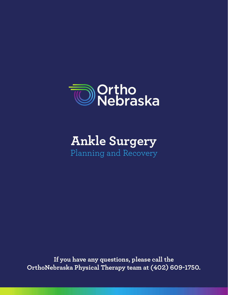

# **Ankle Surgery** Planning and Recovery

**If you have any questions, please call the OrthoNebraska Physical Therapy team at (402) 609-1750.**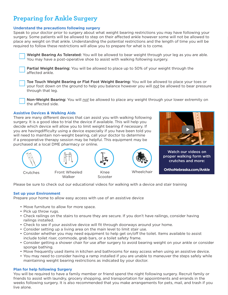## **Preparing for Ankle Surgery**

#### **Understand the precautions following surgery**

Speak to your doctor prior to surgery about what weight bearing restrictions you may have following your surgery. Some patients will be allowed to step on their affected ankle however some will not be allowed to place any weight on that ankle. Understanding the potential restrictions and the length of time you will be required to follow these restrictions will allow you to prepare for what is to come.

Weight Bearing As Tolerated: You will be allowed to bear weight through your leg as you are able. You may have a post-operative shoe to assist with walking following surgery.

Partial Weight Bearing: You will be allowed to place up to 50% of your weight through the affected ankle.

Toe Touch Weight Bearing or Flat Foot Weight Bearing: You will be allowed to place your toes or your foot down on the ground to help you balance however you will *not* be allowed to bear pressure through that leg.

Non-Weight Bearing: You will *not* be allowed to place any weight through your lower extremity on the affected side.

#### **Assistive Devices & Walking Aids**

There are many different devices that can assist you with walking following surgery. It is a good idea to trial the device if available. This will help you decide which device will allow you to limit weight bearing if necessary. If you are havingdifficulty using a device especially if you have been told you will need to maintain non-weight bearing, call your doctor to determine if a preoperative therapy session may be helpful. This equipment may be purchased at a local DME pharmacy or online.



Watch our videos on proper walking form with crutches and more:

**OrthoNebraska.com/Ankle** Crutches Front Wheeled

Walker



Scooter



Please be sure to check out our educational videos for walking with a device and stair training

#### **Set up your Environment**

Prepare your home to allow easy access with use of an assistive device

- Move furniture to allow for more space.
- Pick up throw rugs.
- Check railings on the stairs to ensure they are secure. If you don't have railings, consider having railings installed.
- Check to see if your assistive device will fit through doorways around your home.
- Consider setting up a living area on the main level to limit stair use.
- Consider whether you may need equipment to help get on/off the toilet. Items available to assist include toilet riser, commode, grab bars, or a toilet safety frame.
- Consider getting a shower chair for use after surgery to avoid bearing weight on your ankle or consider sponge bathing.
- Move frequently used items in kitchen and bathrooms for easy access when using an assistive device.
- You may need to consider having a ramp installed if you are unable to maneuver the steps safely while maintaining weight bearing restrictions as indicated by your doctor.

#### **Plan for help following Surgery**

You will be required to have a family member or friend spend the night following surgery. Recruit family or friends to assist with laundry, grocery shopping, and transportation for appointments and errands in the weeks following surgery. It is also recommended that you make arrangements for pets, mail, and trash if you live alone.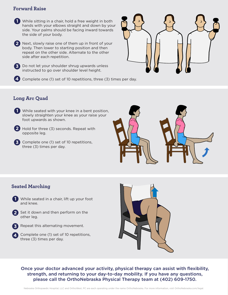#### **Forward Raise**

- While sitting in a chair, hold a free weight in both **1** hands with your elbows straight and down by your side. Your palms should be facing inward towards the side of your body.
- Next, slowly raise one of them up in front of your **2** body. Then lower to starting position and then repeat on the other side. Alternate to the other side after each repetition.
- **3**

Do not let your shoulder shrug upwards unless instructed to go over shoulder level height.



4) Complete one (1) set of 10 repetitions, three (3) times per day.

## **Long Arc Quad**

- While seated with your knee in a bent position, **1** slowly straighten your knee as your raise your foot upwards as shown.
- Hold for three (3) seconds. Repeat with opposite leg. **2**
- Complete one (1) set of 10 repetitions, three (3) times per day. **3**



#### **Seated Marching**

- While seated in a chair, lift up your foot and knee. **1**
- Set it down and then perform on the other leg. **2**
- **3**
	- Repeat this alternating movement.
- Complete one (1) set of 10 repetitions, three (3) times per day. **4**



Once your doctor advanced your activity, physical therapy can assist with flexibility, strength, and returning to your day-to-day mobility. If you have any questions, please call the OrthoNebraska Physical Therapy team at (402) 609-1750.